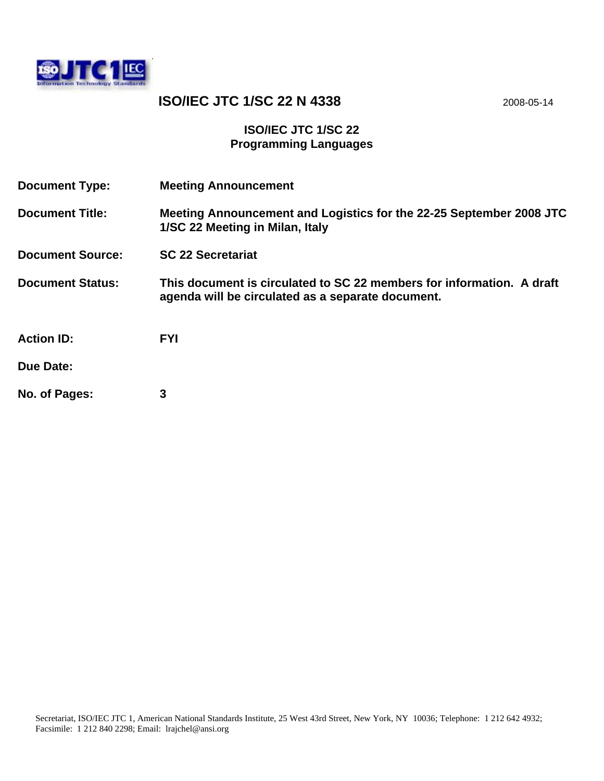

# **ISO/IEC JTC 1/SC 22 N 4338** 2008-05-14

### **ISO/IEC JTC 1/SC 22 Programming Languages**

| <b>Document Type:</b>   | <b>Meeting Announcement</b>                                                                                                |
|-------------------------|----------------------------------------------------------------------------------------------------------------------------|
| <b>Document Title:</b>  | Meeting Announcement and Logistics for the 22-25 September 2008 JTC<br>1/SC 22 Meeting in Milan, Italy                     |
| <b>Document Source:</b> | <b>SC 22 Secretariat</b>                                                                                                   |
| <b>Document Status:</b> | This document is circulated to SC 22 members for information. A draft<br>agenda will be circulated as a separate document. |
| <b>Action ID:</b>       | <b>FYI</b>                                                                                                                 |
| <b>Due Date:</b>        |                                                                                                                            |
| No. of Pages:           | 3                                                                                                                          |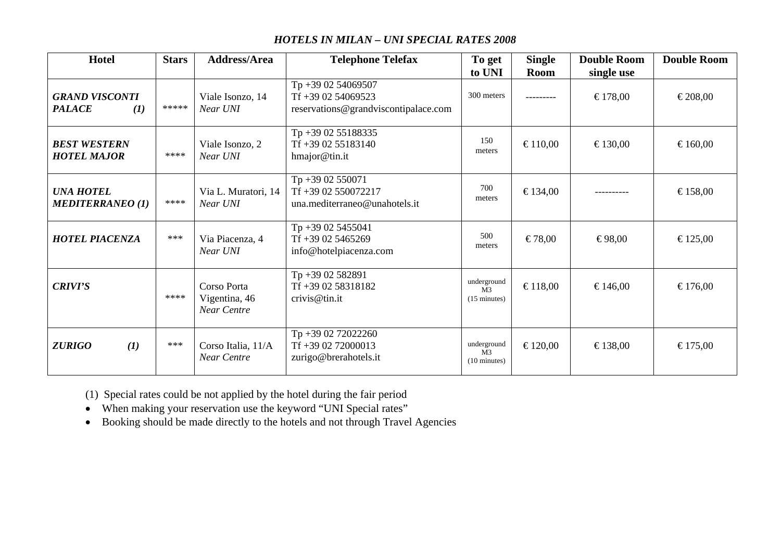#### *HOTELS IN MILAN – UNI SPECIAL RATES 2008*

| Hotel                                         | <b>Stars</b> | <b>Address/Area</b>                                | <b>Telephone Telefax</b>                                                          | To get                                                  | <b>Single</b> | <b>Double Room</b>    | <b>Double Room</b> |
|-----------------------------------------------|--------------|----------------------------------------------------|-----------------------------------------------------------------------------------|---------------------------------------------------------|---------------|-----------------------|--------------------|
| <b>GRAND VISCONTI</b><br><b>PALACE</b><br>(I) | *****        | Viale Isonzo, 14<br>Near UNI                       | Tp +39 02 54069507<br>$Tf + 390254069523$<br>reservations@grandviscontipalace.com | to UNI<br>300 meters                                    | <b>Room</b>   | single use<br>€178,00 | €208,00            |
| <b>BEST WESTERN</b><br><b>HOTEL MAJOR</b>     | ****         | Viale Isonzo, 2<br>Near UNI                        | Tp +39 02 55188335<br>Tf +39 02 55183140<br>hmajor@tin.it                         | 150<br>meters                                           | €110,00       | €130,00               | €160,00            |
| <b>UNA HOTEL</b><br><b>MEDITERRANEO (1)</b>   | ****         | Via L. Muratori, 14<br>Near UNI                    | Tp +39 02 550071<br>Tf +39 02 550072217<br>una.mediterraneo@unahotels.it          | 700<br>meters                                           | €134,00       |                       | €158,00            |
| <b>HOTEL PIACENZA</b>                         | ***          | Via Piacenza, 4<br>Near UNI                        | Tp +39 02 5455041<br>$Tf + 39025465269$<br>info@hotelpiacenza.com                 | 500<br>meters                                           | €78,00        | €98,00                | €125,00            |
| <b>CRIVI'S</b>                                | ****         | Corso Porta<br>Vigentina, 46<br><b>Near Centre</b> | Tp+39 02 582891<br>Tf +39 02 58318182<br>crivis@tin.it                            | underground<br>M <sub>3</sub><br>$(15 \text{ minutes})$ | €118,00       | €146,00               | €176,00            |
| (I)<br><b>ZURIGO</b>                          | ***          | Corso Italia, 11/A<br>Near Centre                  | Tp +39 02 72022260<br>Tf +39 02 72000013<br>zurigo@brerahotels.it                 | underground<br>M <sub>3</sub><br>$(10 \text{ minutes})$ | €120,00       | €138,00               | €175,00            |

(1) Special rates could be not applied by the hotel during the fair period

• When making your reservation use the keyword "UNI Special rates"

• Booking should be made directly to the hotels and not through Travel Agencies